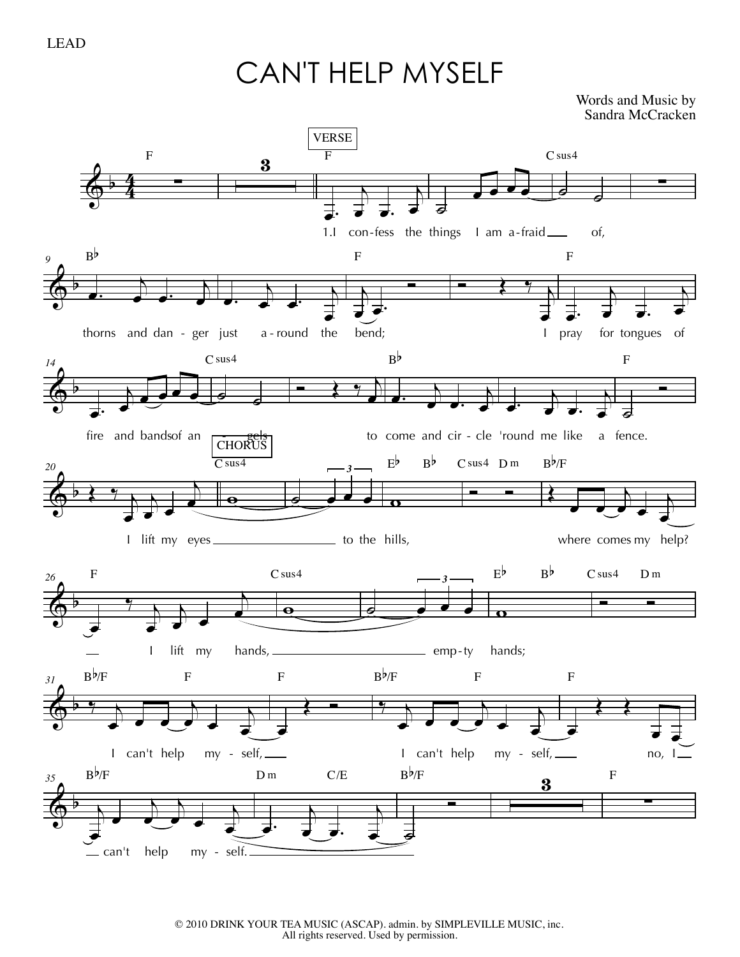CAN'T HELP MYSELF

Words and Music by Sandra McCracken

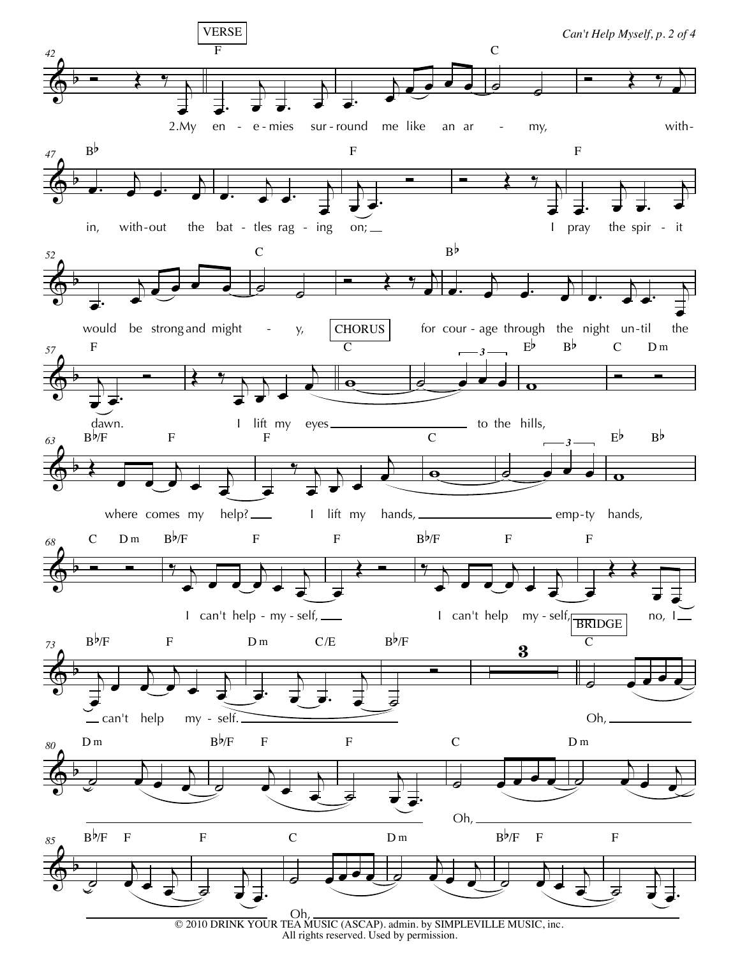

All rights reserved. Used by permission.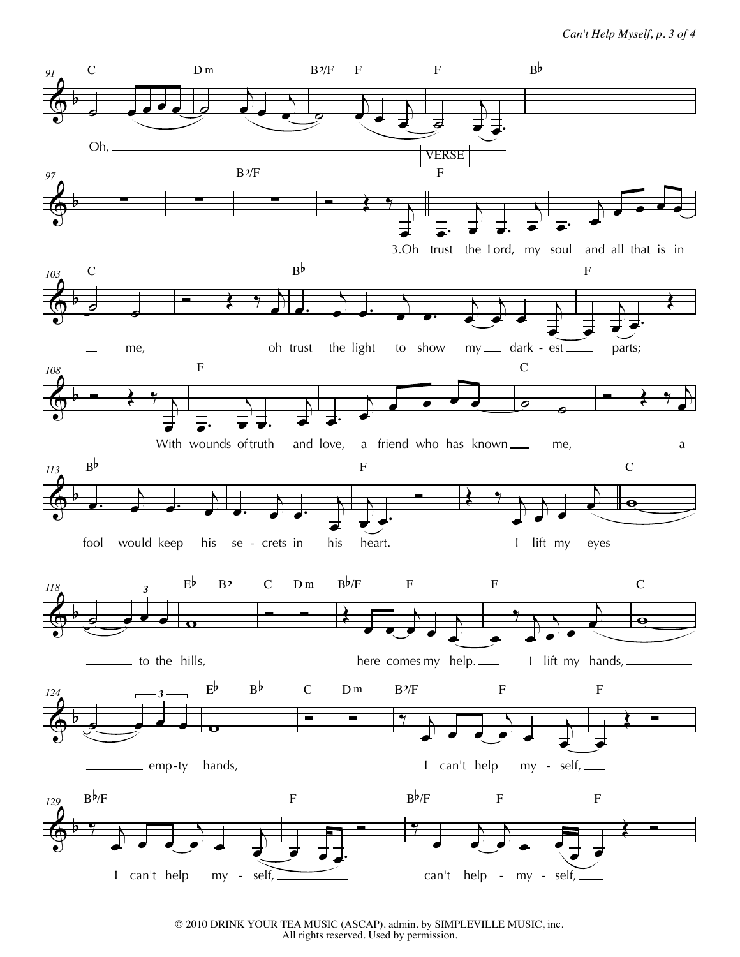

© 2010 DRINK YOUR TEA MUSIC (ASCAP). admin. by SIMPLEVILLE MUSIC, inc. All rights reserved. Used by permission.